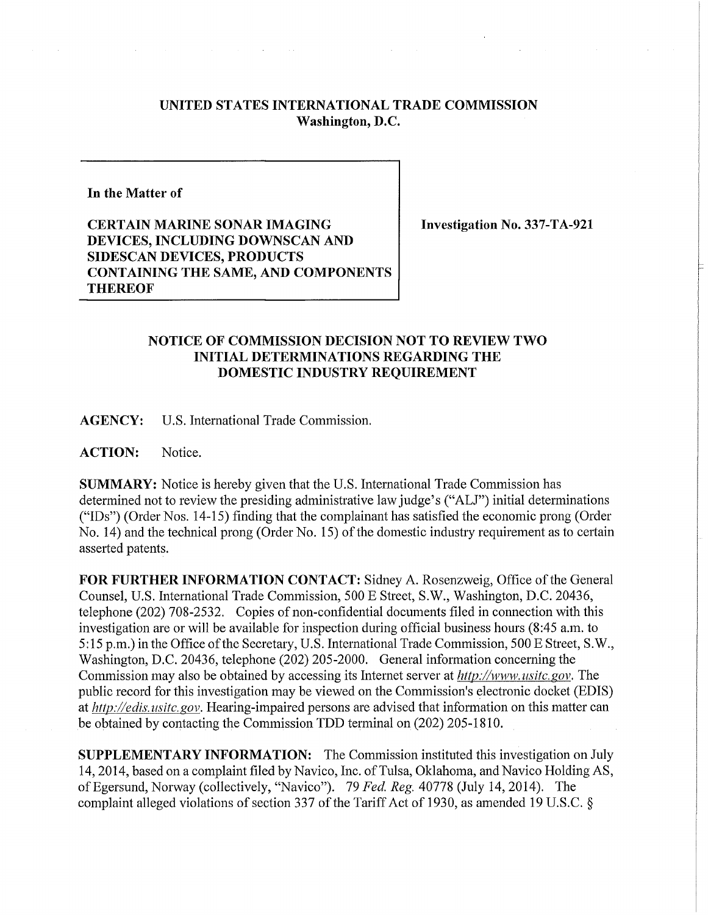## **UNITED STATES INTERNATIONAL TRADE COMMISSION Washington, D.C.**

## **In the Matter of**

**CERTAIN MARINE SONAR IMAGING DEVICES, INCLUDING DOWNSCAN AND SIDESCAN DEVICES, PRODUCTS CONTAINING THE SAME, AND COMPONENTS THEREOF** 

**Investigation** No. **337-TA-921** 

## **NOTICE OF COMMISSION DECISION NOT TO REVIEW TWO INITIAL DETERMINATIONS REGARDING THE DOMESTIC INDUSTRY REQUIREMENT**

**AGENCY:** U.S. International Trade Commission.

ACTION: Notice.

**SUMMARY:** Notice is hereby given that the U.S. International Trade Commission has determined not to review the presiding administrative law judge's ("ALJ") initial determinations ("IDs") (Order Nos. 14-15) finding that the complainant has satisfied the economic prong (Order No. 14) and the technical prong (Order No. 15) of the domestic industry requirement as to certain asserted patents.

**FOR FURTHER INFORMATION CONTACT:** Sidney A. Rosenzweig, Office of the General Counsel, U.S. International Trade Commission, 500 E Street, S.W., Washington, D.C. 20436, telephone (202) 708-2532. Copies of non-confidential documents filed in connection with this investigation are or will be available for inspection during official business hours (8:45 a.m. to 5:15 p.m.) in the Office of the Secretary, U.S. International Trade Commission, 500 E Street, S.W., Washington, D.C. 20436, telephone (202) 205-2000. General information concerning the Commission may also be obtained by accessing its Internet server at *http://www.usitc.gov*. The public record for this investigation may be viewed on the Commission's electronic docket (EDIS) *athttp://edis.usitc.gov.* Hearing-impaired persons are advised that information on this matter can be obtained by contacting the Commission TDD terminal on (202) 205-1810.

**SUPPLEMENTARY INFORMATION:** The Commission instituted this investigation on July 14, 2014, based on a complaint filed by Navico, Inc. of Tulsa, Oklahoma, and Navico Holding AS, ofEgersund, Norway (collectively, "Navico"). 79 *Fed. Reg.* 40778 (July 14, 2014). The complaint alleged violations of section 337 of the Tariff Act of 1930, as amended 19 U.S.C. §